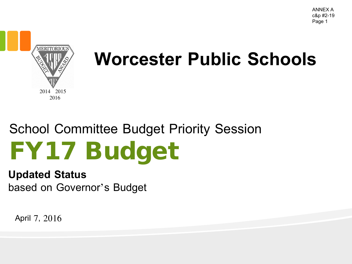

#### **Worcester Public Schools**

### School Committee Budget Priority Session FY17 Budget

#### **Updated Status**

based on Governor's Budget

April 7, 2016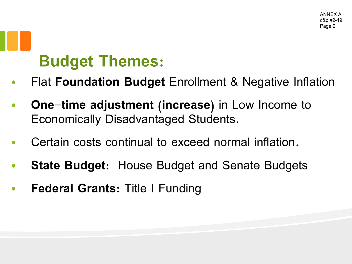### **Budget Themes:**

- Flat **Foundation Budget** Enrollment & Negative Inflation
- **One-time adjustment (increase)** in Low Income to Economically Disadvantaged Students.
- Certain costs continual to exceed normal inflation.
- **State Budget: House Budget and Senate Budgets**
- **Federal Grants**: Title I Funding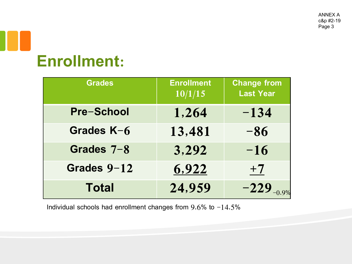#### **Enrollment:**

| <b>Grades</b>     | <b>Enrollment</b><br>10/1/15 | <b>Change from</b><br><b>Last Year</b> |
|-------------------|------------------------------|----------------------------------------|
| <b>Pre-School</b> | 1,264                        | $-134$                                 |
| Grades K-6        | 13,481                       | $-86$                                  |
| Grades 7-8        | 3,292                        | $-16$                                  |
| Grades 9-12       | 6,922                        | $+7$                                   |
| <b>Total</b>      | 24,959                       | $-229$ <sub>-0.9%</sub>                |

Individual schools had enrollment changes from  $9.6\%$  to  $-14.5\%$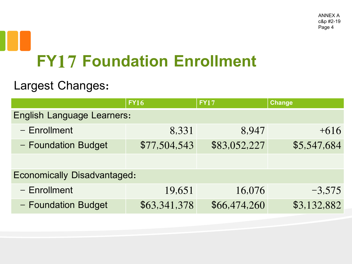# **FY17 Foundation Enrollment**

#### Largest Changes:

|                                    | <b>FY16</b>  | <b>FY17</b>  | <b>Change</b> |  |
|------------------------------------|--------------|--------------|---------------|--|
| <b>English Language Learners:</b>  |              |              |               |  |
| $-$ Enrollment                     | 8,331        | 8,947        | $+616$        |  |
| - Foundation Budget                | \$77,504,543 | \$83,052,227 | \$5,547,684   |  |
|                                    |              |              |               |  |
| <b>Economically Disadvantaged:</b> |              |              |               |  |
| $-$ Enrollment                     | 19,651       | 16,076       | $-3,575$      |  |
| - Foundation Budget                | \$63,341,378 | \$66,474,260 | \$3,132,882   |  |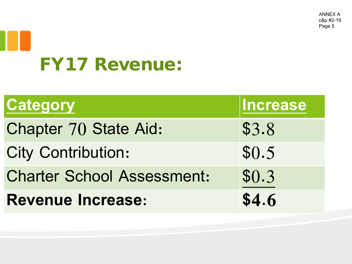# FY17 Revenue:

| <b>Category</b>                   | <b>Increase</b> |
|-----------------------------------|-----------------|
| <b>Chapter 70 State Aid:</b>      | \$3.8           |
| <b>City Contribution:</b>         | \$0.5           |
| <b>Charter School Assessment:</b> | \$0.3           |
| <b>Revenue Increase:</b>          | \$4.6           |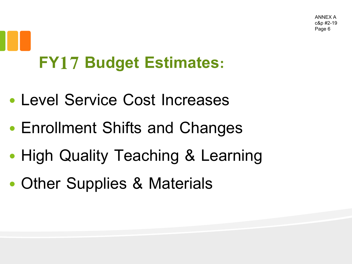# **FY17 Budget Estimates:**

- Level Service Cost Increases
- Enrollment Shifts and Changes
- High Quality Teaching & Learning
- Other Supplies & Materials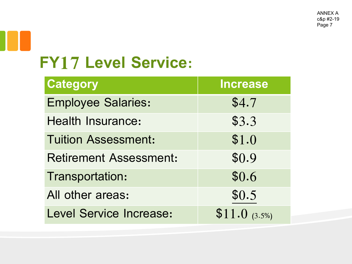#### **FY17 Level Service:**

| <b>Category</b>                | <b>Increase</b>  |
|--------------------------------|------------------|
| <b>Employee Salaries:</b>      | \$4.7            |
| <b>Health Insurance:</b>       | \$3.3            |
| <b>Tuition Assessment:</b>     | \$1.0            |
| <b>Retirement Assessment:</b>  | \$0.9            |
| Transportation:                | \$0.6            |
| All other areas:               | \$0.5            |
| <b>Level Service Increase:</b> | $$11.0\;$ (3.5%) |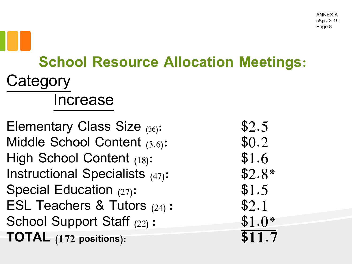#### **School Resource Allocation Meetings: Category** Increase

Elementary Class Size  $(36)$ : \$2.5 Middle School Content  $(3.6)$ :  $$0.2$ High School Content (18): \$1.6 Instructional Specialists (47): \$2.8\* Special Education  $(27)$ :  $$1.5$ ESL Teachers & Tutors  $(24)$ : \$2.1 School Support Staff  $(22)$ :  $$1.0*$ **TOTAL (172 positions): \$11.7**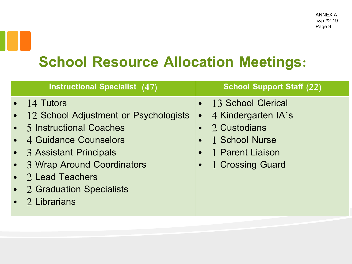#### **School Resource Allocation Meetings:**

| <b>Instructional Specialist (47)</b>                                                                                                               | <b>School Support Staff (22)</b>                                                                          |
|----------------------------------------------------------------------------------------------------------------------------------------------------|-----------------------------------------------------------------------------------------------------------|
| $\bullet$ 14 Tutors<br>• 12 School Adjustment or Psychologists<br>• 5 Instructional Coaches<br>• 4 Guidance Counselors<br>• 3 Assistant Principals | • 13 School Clerical<br>• 4 Kindergarten IA's<br>• 2 Custodians<br>• 1 School Nurse<br>• 1 Parent Liaison |
| • 3 Wrap Around Coordinators<br>• 2 Lead Teachers<br>• 2 Graduation Specialists<br>$\bullet$ 2 Librarians                                          | • 1 Crossing Guard                                                                                        |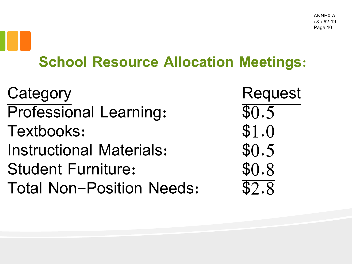#### **School Resource Allocation Meetings:**

Category Request Professional Learning:  $$0.5$ Textbooks: \$1.0 Instructional Materials: \$0.5 Student Furniture: \$0.8 Total Non-Position Needs: \$2.8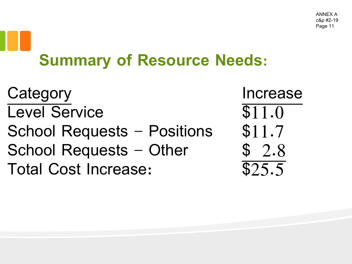## **Summary of Resource Needs:**

Category **Increase** Level Service \$11.0 School Requests – Positions  $$11.7$ School Requests – Other  $$ 2.8$ Total Cost Increase: \$25.5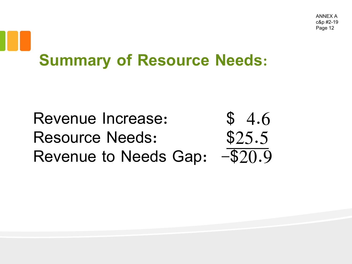#### **Summary of Resource Needs:**

Revenue Increase: \$4.6 Resource Needs:  $$25.5$ <br>Revenue to Needs Gap:  $-$20.9$ Revenue to Needs Gap: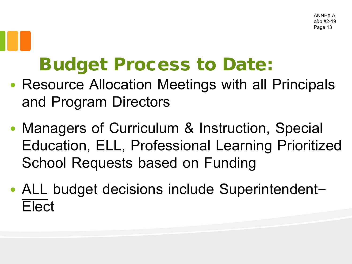#### Budget Process to Date:

- Resource Allocation Meetings with all Principals and Program Directors
- Managers of Curriculum & Instruction, Special Education, ELL, Professional Learning Prioritized School Requests based on Funding
- ALL budget decisions include Superintendent-Elect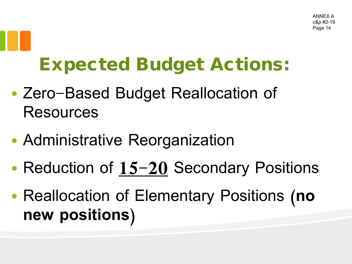#### Expected Budget Actions:

- Zero-Based Budget Reallocation of Resources
- Administrative Reorganization
- Reduction of **15-20** Secondary Positions
- Reallocation of Elementary Positions (**no new positions**)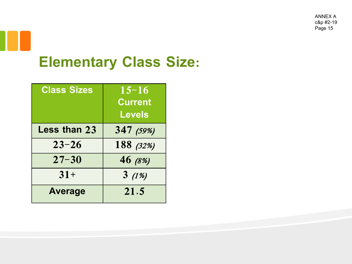### **Elementary Class Size:**

| <b>Class Sizes</b>  | $15 - 16$<br><b>Current</b><br><b>Levels</b> |
|---------------------|----------------------------------------------|
| <b>Less than 23</b> | 347 (59%)                                    |
| $23 - 26$           | 188 (32%)                                    |
| $27 - 30$           | 46 (8%)                                      |
| $31+$               | 3(1%)                                        |
| <b>Average</b>      | 21.5                                         |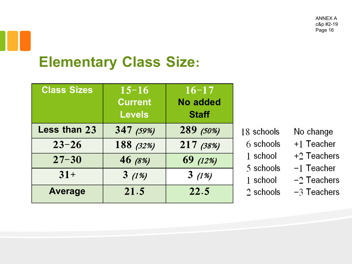#### **Elementary Class Size:**

| <b>Class Sizes</b> | $15 - 16$<br><b>Current</b><br><b>Levels</b> | $16 - 17$<br><b>No added</b><br><b>Staff</b> |
|--------------------|----------------------------------------------|----------------------------------------------|
| Less than 23       | 347 (59%)                                    | 289 (50%)                                    |
| $23 - 26$          | 188 (32%)                                    | 217 (38%)                                    |
| $27 - 30$          | 46 (8%)                                      | 69 (12%)                                     |
| $31+$              | 3(1%)                                        | 3(1%)                                        |
| <b>Average</b>     | 21.5                                         | 22.5                                         |

|  | $18\,$ schools |  |  |
|--|----------------|--|--|
|--|----------------|--|--|

- 6 schools
- 1 school
- 5 schools
- 1 school
- $2$  schools
- No change
- $+1$  Teacher
- $+2$  Teachers
- $-1$  Teacher
- $-2$  Teachers
- $-3$  Teachers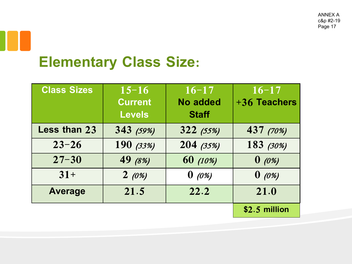#### **Elementary Class Size:**

| <b>Class Sizes</b> | $15 - 16$<br><b>Current</b><br><b>Levels</b> | $16 - 17$<br><b>No added</b><br><b>Staff</b> | $16 - 17$<br>+36 Teachers |
|--------------------|----------------------------------------------|----------------------------------------------|---------------------------|
| Less than 23       | 343 (59%)                                    | 322(55%)                                     | 437 (70%)                 |
| $23 - 26$          | 190 (33%)                                    | 204 (35%)                                    | 183 (30%)                 |
| $27 - 30$          | 49 (8%)                                      | 60 (10%)                                     | $0 \ (\theta\%)$          |
| $31+$              | 2(0%)                                        | $0 \ (\theta\%)$                             | $0 \ (\theta\%)$          |
| <b>Average</b>     | 21.5                                         | 22.2                                         | 21.0                      |
|                    |                                              |                                              | $$2.5$ million            |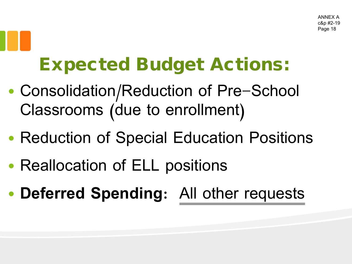#### Expected Budget Actions:

- Consolidation/Reduction of Pre-School Classrooms (due to enrollment)
- Reduction of Special Education Positions
- Reallocation of ELL positions
- **Deferred Spending**: All other requests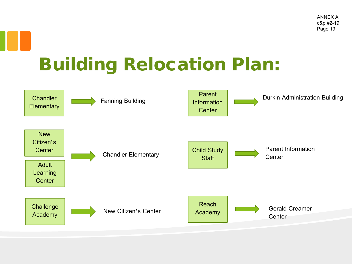#### Building Relocation Plan:

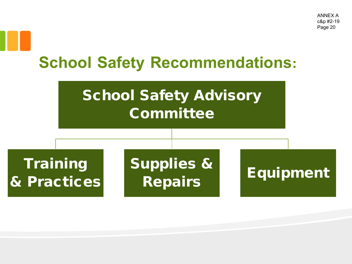#### **School Safety Recommendations:**

#### School Safety Advisory **Committee**

**Training** & Practices Supplies & Repairs Equipment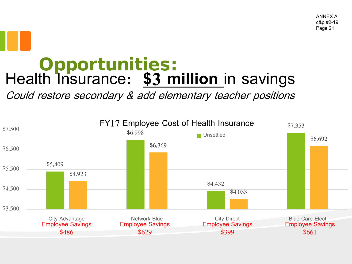### Opportunities: Health Insurance: **\$3 million** in savings

Could restore secondary & add elementary teacher positions

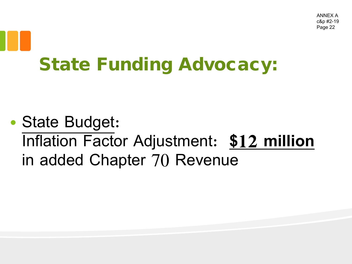### State Funding Advocacy:

• State Budget: Inflation Factor Adjustment: **\$12 million** in added Chapter 70 Revenue